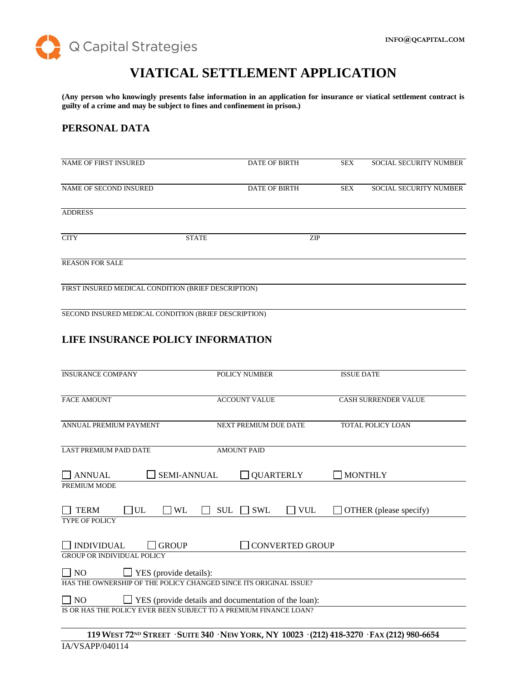

# **VIATICAL SETTLEMENT APPLICATION**

**(Any person who knowingly presents false information in an application for insurance or viatical settlement contract is guilty of a crime and may be subject to fines and confinement in prison.)**

## **PERSONAL DATA**

| <b>NAME OF FIRST INSURED</b>                        |              | <b>DATE OF BIRTH</b> | SEX        | <b>SOCIAL SECURITY NUMBER</b> |
|-----------------------------------------------------|--------------|----------------------|------------|-------------------------------|
| NAME OF SECOND INSURED                              |              | <b>DATE OF BIRTH</b> | <b>SEX</b> | <b>SOCIAL SECURITY NUMBER</b> |
| <b>ADDRESS</b>                                      |              |                      |            |                               |
| <b>CITY</b>                                         | <b>STATE</b> | ZIP                  |            |                               |
| <b>REASON FOR SALE</b>                              |              |                      |            |                               |
| FIRST INSURED MEDICAL CONDITION (BRIEF DESCRIPTION) |              |                      |            |                               |
|                                                     |              |                      |            |                               |

SECOND INSURED MEDICAL CONDITION (BRIEF DESCRIPTION)

# **LIFE INSURANCE POLICY INFORMATION**

| <b>INSURANCE COMPANY</b>                                                            | <b>POLICY NUMBER</b>                                            | <b>ISSUE DATE</b>           |
|-------------------------------------------------------------------------------------|-----------------------------------------------------------------|-----------------------------|
| <b>FACE AMOUNT</b>                                                                  | <b>ACCOUNT VALUE</b>                                            | <b>CASH SURRENDER VALUE</b> |
| ANNUAL PREMIUM PAYMENT                                                              | NEXT PREMIUM DUE DATE                                           | <b>TOTAL POLICY LOAN</b>    |
| <b>LAST PREMIUM PAID DATE</b>                                                       | <b>AMOUNT PAID</b>                                              |                             |
| <b>SEMI-ANNUAL</b><br><b>ANNUAL</b><br>PREMIUM MODE                                 | <b>QUARTERLY</b>                                                | <b>MONTHLY</b>              |
| $\Box$ UL<br><b>TERM</b><br>WL                                                      | $\Box$ VUL<br><b>SUL</b><br><b>SWL</b>                          | OTHER (please specify)      |
| <b>TYPE OF POLICY</b>                                                               |                                                                 |                             |
| <b>INDIVIDUAL</b><br><b>GROUP</b><br><b>GROUP OR INDIVIDUAL POLICY</b>              | <b>CONVERTED GROUP</b>                                          |                             |
| $\blacksquare$ YES (provide details):<br>$\Box$ NO                                  |                                                                 |                             |
| HAS THE OWNERSHIP OF THE POLICY CHANGED SINCE ITS ORIGINAL ISSUE?                   |                                                                 |                             |
| N <sub>O</sub><br>IS OR HAS THE POLICY EVER BEEN SUBJECT TO A PREMIUM FINANCE LOAN? | <b>The YES</b> (provide details and documentation of the loan): |                             |
|                                                                                     |                                                                 |                             |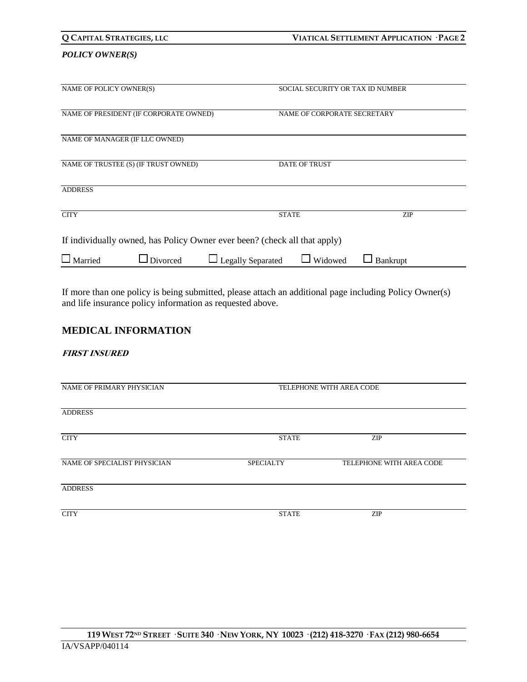| Q CAPITAL STRATEGIES, LLC |                                        |                                                                           | VIATICAL SETTLEMENT APPLICATION · PAGE 2 |                                  |  |
|---------------------------|----------------------------------------|---------------------------------------------------------------------------|------------------------------------------|----------------------------------|--|
| <b>POLICY OWNER(S)</b>    |                                        |                                                                           |                                          |                                  |  |
| NAME OF POLICY OWNER(S)   |                                        |                                                                           |                                          | SOCIAL SECURITY OR TAX ID NUMBER |  |
|                           | NAME OF PRESIDENT (IF CORPORATE OWNED) |                                                                           | NAME OF CORPORATE SECRETARY              |                                  |  |
|                           | NAME OF MANAGER (IF LLC OWNED)         |                                                                           |                                          |                                  |  |
|                           | NAME OF TRUSTEE (S) (IF TRUST OWNED)   | <b>DATE OF TRUST</b>                                                      |                                          |                                  |  |
| <b>ADDRESS</b>            |                                        |                                                                           |                                          |                                  |  |
| <b>CITY</b>               |                                        | <b>STATE</b>                                                              |                                          | <b>ZIP</b>                       |  |
|                           |                                        | If individually owned, has Policy Owner ever been? (check all that apply) |                                          |                                  |  |
| Married                   | Divorced                               | $\Box$ Legally Separated                                                  | Widowed                                  | Bankrupt                         |  |

If more than one policy is being submitted, please attach an additional page including Policy Owner(s) and life insurance policy information as requested above.

## **MEDICAL INFORMATION**

### **FIRST INSURED**

| TELEPHONE WITH AREA CODE |                          |  |
|--------------------------|--------------------------|--|
|                          |                          |  |
| <b>STATE</b>             | ZIP                      |  |
| <b>SPECIALTY</b>         | TELEPHONE WITH AREA CODE |  |
|                          |                          |  |
| <b>STATE</b>             | <b>ZIP</b>               |  |
|                          |                          |  |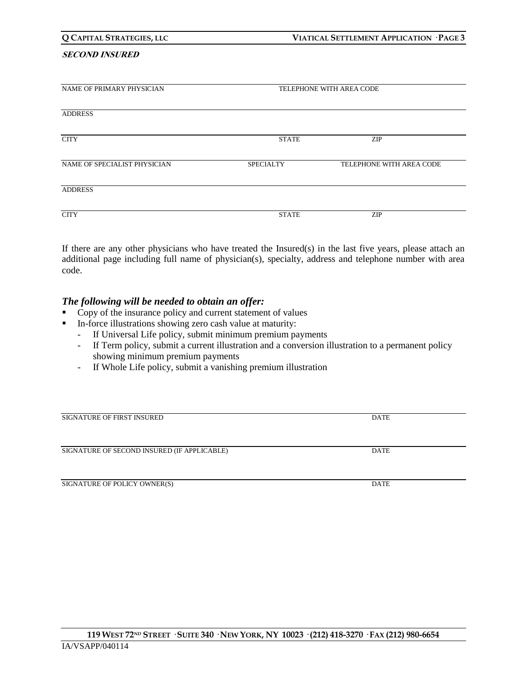#### **SECOND INSURED**

| NAME OF PRIMARY PHYSICIAN    | TELEPHONE WITH AREA CODE |                          |  |
|------------------------------|--------------------------|--------------------------|--|
| <b>ADDRESS</b>               |                          |                          |  |
| <b>CITY</b>                  | <b>STATE</b>             | <b>ZIP</b>               |  |
| NAME OF SPECIALIST PHYSICIAN | <b>SPECIALTY</b>         | TELEPHONE WITH AREA CODE |  |
| <b>ADDRESS</b>               |                          |                          |  |
| <b>CITY</b>                  | <b>STATE</b>             | ZIP                      |  |

If there are any other physicians who have treated the Insured(s) in the last five years, please attach an additional page including full name of physician(s), specialty, address and telephone number with area code.

## *The following will be needed to obtain an offer:*

- Copy of the insurance policy and current statement of values
- In-force illustrations showing zero cash value at maturity:
	- If Universal Life policy, submit minimum premium payments
	- If Term policy, submit a current illustration and a conversion illustration to a permanent policy showing minimum premium payments
	- If Whole Life policy, submit a vanishing premium illustration

| <b>SIGNATURE OF FIRST INSURED</b>           | <b>DATE</b> |  |
|---------------------------------------------|-------------|--|
|                                             |             |  |
|                                             |             |  |
| SIGNATURE OF SECOND INSURED (IF APPLICABLE) | <b>DATE</b> |  |
|                                             |             |  |
|                                             |             |  |
| SIGNATURE OF POLICY OWNER(S)                | <b>DATE</b> |  |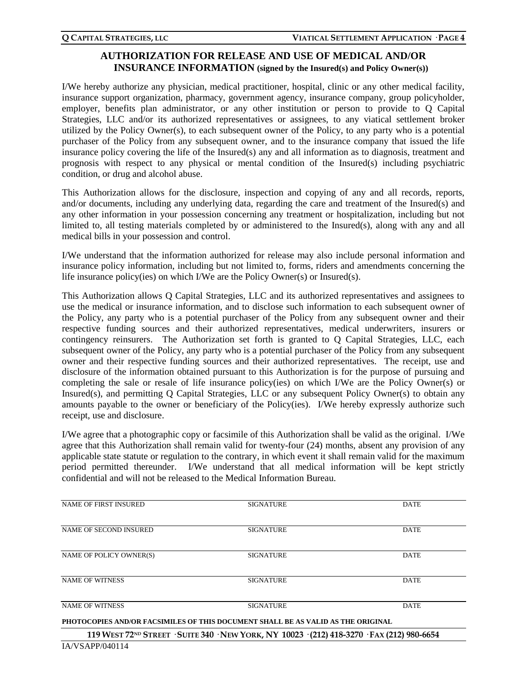# **AUTHORIZATION FOR RELEASE AND USE OF MEDICAL AND/OR INSURANCE INFORMATION (signed by the Insured(s) and Policy Owner(s))**

I/We hereby authorize any physician, medical practitioner, hospital, clinic or any other medical facility, insurance support organization, pharmacy, government agency, insurance company, group policyholder, employer, benefits plan administrator, or any other institution or person to provide to Q Capital Strategies, LLC and/or its authorized representatives or assignees, to any viatical settlement broker utilized by the Policy Owner(s), to each subsequent owner of the Policy, to any party who is a potential purchaser of the Policy from any subsequent owner, and to the insurance company that issued the life insurance policy covering the life of the Insured(s) any and all information as to diagnosis, treatment and prognosis with respect to any physical or mental condition of the Insured(s) including psychiatric condition, or drug and alcohol abuse.

This Authorization allows for the disclosure, inspection and copying of any and all records, reports, and/or documents, including any underlying data, regarding the care and treatment of the Insured(s) and any other information in your possession concerning any treatment or hospitalization, including but not limited to, all testing materials completed by or administered to the Insured(s), along with any and all medical bills in your possession and control.

I/We understand that the information authorized for release may also include personal information and insurance policy information, including but not limited to, forms, riders and amendments concerning the life insurance policy(ies) on which I/We are the Policy Owner(s) or Insured(s).

This Authorization allows Q Capital Strategies, LLC and its authorized representatives and assignees to use the medical or insurance information, and to disclose such information to each subsequent owner of the Policy, any party who is a potential purchaser of the Policy from any subsequent owner and their respective funding sources and their authorized representatives, medical underwriters, insurers or contingency reinsurers. The Authorization set forth is granted to Q Capital Strategies, LLC, each subsequent owner of the Policy, any party who is a potential purchaser of the Policy from any subsequent owner and their respective funding sources and their authorized representatives. The receipt, use and disclosure of the information obtained pursuant to this Authorization is for the purpose of pursuing and completing the sale or resale of life insurance policy(ies) on which I/We are the Policy Owner(s) or Insured(s), and permitting Q Capital Strategies, LLC or any subsequent Policy Owner(s) to obtain any amounts payable to the owner or beneficiary of the Policy(ies). I/We hereby expressly authorize such receipt, use and disclosure.

I/We agree that a photographic copy or facsimile of this Authorization shall be valid as the original. I/We agree that this Authorization shall remain valid for twenty-four (24) months, absent any provision of any applicable state statute or regulation to the contrary, in which event it shall remain valid for the maximum period permitted thereunder. I/We understand that all medical information will be kept strictly confidential and will not be released to the Medical Information Bureau.

| <b>NAME OF FIRST INSURED</b>                                                                            | <b>SIGNATURE</b>                                                                 | <b>DATE</b> |  |
|---------------------------------------------------------------------------------------------------------|----------------------------------------------------------------------------------|-------------|--|
|                                                                                                         |                                                                                  |             |  |
| NAME OF SECOND INSURED                                                                                  | <b>SIGNATURE</b>                                                                 | <b>DATE</b> |  |
|                                                                                                         |                                                                                  |             |  |
| NAME OF POLICY OWNER(S)                                                                                 | <b>SIGNATURE</b>                                                                 | <b>DATE</b> |  |
|                                                                                                         |                                                                                  |             |  |
| <b>NAME OF WITNESS</b>                                                                                  | <b>SIGNATURE</b>                                                                 | <b>DATE</b> |  |
|                                                                                                         |                                                                                  |             |  |
| <b>NAME OF WITNESS</b>                                                                                  | <b>SIGNATURE</b>                                                                 | <b>DATE</b> |  |
|                                                                                                         | PHOTOCOPIES AND/OR FACSIMILES OF THIS DOCUMENT SHALL BE AS VALID AS THE ORIGINAL |             |  |
| 119 WEST 72 <sup>ND</sup> STREET · SUITE 340 · NEW YORK, NY 10023 · (212) 418-3270 · FAX (212) 980-6654 |                                                                                  |             |  |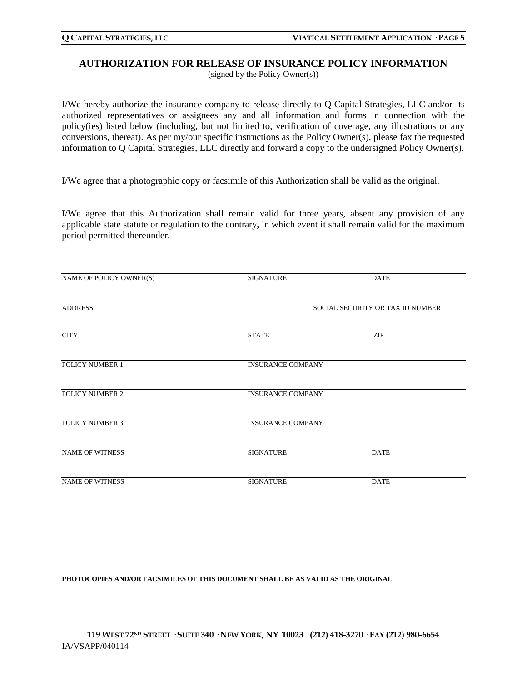## **AUTHORIZATION FOR RELEASE OF INSURANCE POLICY INFORMATION**

(signed by the Policy Owner(s))

I/We hereby authorize the insurance company to release directly to Q Capital Strategies, LLC and/or its authorized representatives or assignees any and all information and forms in connection with the policy(ies) listed below (including, but not limited to, verification of coverage, any illustrations or any conversions, thereat). As per my/our specific instructions as the Policy Owner(s), please fax the requested information to Q Capital Strategies, LLC directly and forward a copy to the undersigned Policy Owner(s).

I/We agree that a photographic copy or facsimile of this Authorization shall be valid as the original.

I/We agree that this Authorization shall remain valid for three years, absent any provision of any applicable state statute or regulation to the contrary, in which event it shall remain valid for the maximum period permitted thereunder.

| NAME OF POLICY OWNER(S) | <b>SIGNATURE</b>                 | <b>DATE</b> |  |
|-------------------------|----------------------------------|-------------|--|
| <b>ADDRESS</b>          | SOCIAL SECURITY OR TAX ID NUMBER |             |  |
| <b>CITY</b>             | <b>STATE</b>                     | ZIP         |  |
| POLICY NUMBER 1         | <b>INSURANCE COMPANY</b>         |             |  |
| POLICY NUMBER 2         | <b>INSURANCE COMPANY</b>         |             |  |
| <b>POLICY NUMBER 3</b>  | <b>INSURANCE COMPANY</b>         |             |  |
| <b>NAME OF WITNESS</b>  | <b>SIGNATURE</b>                 | <b>DATE</b> |  |
| <b>NAME OF WITNESS</b>  | <b>SIGNATURE</b>                 | <b>DATE</b> |  |

**PHOTOCOPIES AND/OR FACSIMILES OF THIS DOCUMENT SHALL BE AS VALID AS THE ORIGINAL**